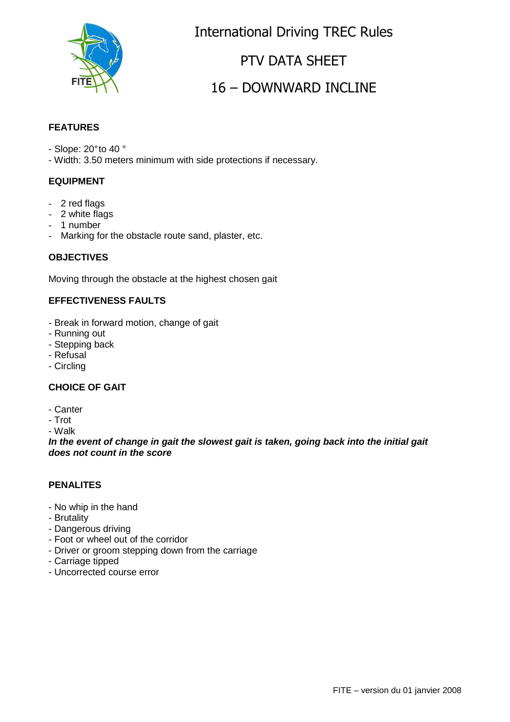

International Driving TREC Rules

# PTV DATA SHEET

# 16 – DOWNWARD INCLINE

#### **FEATURES**

- Slope: 20° to 40 °
- Width: 3.50 meters minimum with side protections if necessary.

#### **EQUIPMENT**

- 2 red flags
- 2 white flags
- 1 number
- Marking for the obstacle route sand, plaster, etc.

#### **OBJECTIVES**

Moving through the obstacle at the highest chosen gait

#### **EFFECTIVENESS FAULTS**

- Break in forward motion, change of gait
- Running out
- Stepping back
- Refusal
- Circling

#### **CHOICE OF GAIT**

- Canter
- Trot

- Walk

**In the event of change in gait the slowest gait is taken, going back into the initial gait does not count in the score**

#### **PENALITES**

- No whip in the hand
- Brutality
- Dangerous driving
- Foot or wheel out of the corridor
- Driver or groom stepping down from the carriage
- Carriage tipped
- Uncorrected course error